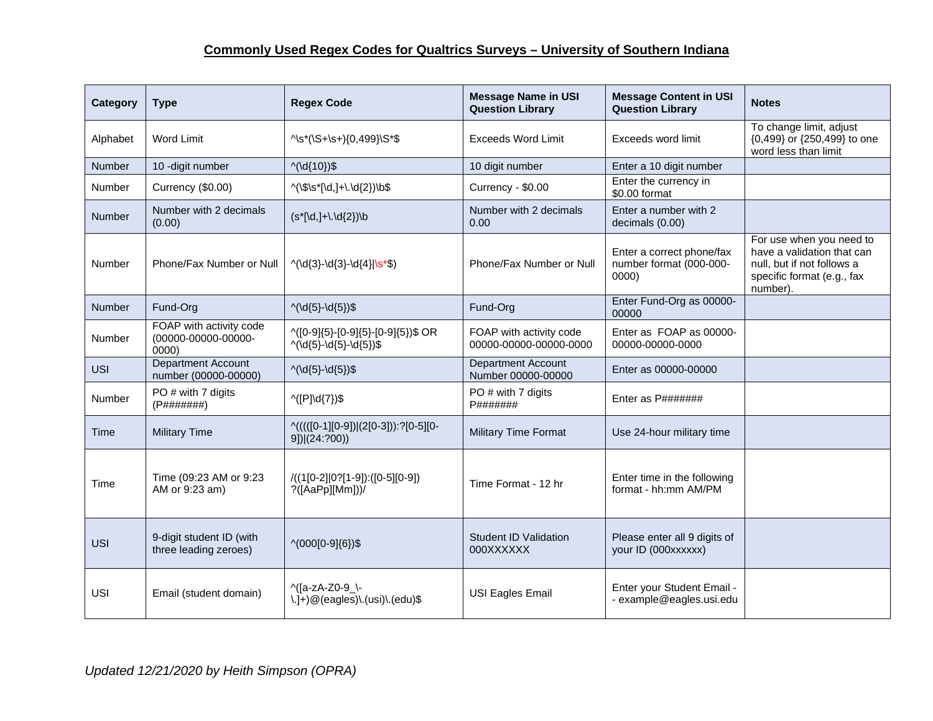## **Commonly Used Regex Codes for Qualtrics Surveys – University of Southern Indiana**

| Category      | <b>Type</b>                                            | <b>Regex Code</b>                                                                                                                 | <b>Message Name in USI</b><br><b>Question Library</b> | <b>Message Content in USI</b><br><b>Question Library</b>      | <b>Notes</b>                                                                                                                   |
|---------------|--------------------------------------------------------|-----------------------------------------------------------------------------------------------------------------------------------|-------------------------------------------------------|---------------------------------------------------------------|--------------------------------------------------------------------------------------------------------------------------------|
| Alphabet      | <b>Word Limit</b>                                      | $\sqrt{s^*(S+ S+ 0,499 S^*$)}$                                                                                                    | <b>Exceeds Word Limit</b>                             | Exceeds word limit                                            | To change limit, adjust<br>{0,499} or {250,499} to one<br>word less than limit                                                 |
| Number        | 10 - digit number                                      | $\wedge$ (\d{10})\$                                                                                                               | 10 digit number                                       | Enter a 10 digit number                                       |                                                                                                                                |
| Number        | Currency (\$0.00)                                      | $\sqrt{\frac{1}{2}}\cdot\frac{1}{d}$ , $\frac{1}{2}}\cdot\frac{1}{2}$                                                             | Currency - \$0.00                                     | Enter the currency in<br>\$0.00 format                        |                                                                                                                                |
| <b>Number</b> | Number with 2 decimals<br>(0.00)                       | $(s*[d,]+1.1d{2})$                                                                                                                | Number with 2 decimals<br>0.00                        | Enter a number with 2<br>decimals (0.00)                      |                                                                                                                                |
| Number        | Phone/Fax Number or Null                               | $\wedge(\d{3} - \d{3} - \d{4}) \s *$ \$)                                                                                          | Phone/Fax Number or Null                              | Enter a correct phone/fax<br>number format (000-000-<br>0000) | For use when you need to<br>have a validation that can<br>null, but if not follows a<br>specific format (e.g., fax<br>number). |
| Number        | Fund-Org                                               | $\wedge(\text{d} \{5\} - \text{d} \{5\})$ \$                                                                                      | Fund-Org                                              | Enter Fund-Org as 00000-<br>00000                             |                                                                                                                                |
| <b>Number</b> | FOAP with activity code<br>(00000-00000-00000-<br>0000 | $\wedge$ ([0-9]{5}-[0-9]{5}-[0-9]{5})\$ OR<br>$\wedge(\text{d}_{5}-\text{d}_{5}-\text{d}_{5})$ \$                                 | FOAP with activity code<br>00000-00000-00000-0000     | Enter as FOAP as 00000-<br>00000-00000-0000                   |                                                                                                                                |
| USI           | <b>Department Account</b><br>number (00000-00000)      | $\wedge(\text{d} \{5\} - \text{d} \{5\})$ \$                                                                                      | <b>Department Account</b><br>Number 00000-00000       | Enter as 00000-00000                                          |                                                                                                                                |
| Number        | PO # with 7 digits<br>(P#######)                       | $\wedge$ ([P]\d{7})\$                                                                                                             | PO # with 7 digits<br>P#######                        | Enter as P#######                                             |                                                                                                                                |
| Time          | <b>Military Time</b>                                   | ^(((([0-1][0-9]) (2[0-3])):?[0-5][0-<br>$9]$ $(24:700)$                                                                           | <b>Military Time Format</b>                           | Use 24-hour military time                                     |                                                                                                                                |
| Time          | Time (09:23 AM or 9:23<br>AM or 9:23 am)               | $/((1[0-2][0?[1-9]):([0-5][0-9])$<br>?([AaPp][Mm]))/                                                                              | Time Format - 12 hr                                   | Enter time in the following<br>format - hh:mm AM/PM           |                                                                                                                                |
| <b>USI</b>    | 9-digit student ID (with<br>three leading zeroes)      | $\wedge$ (000[0-9]{6})\$                                                                                                          | <b>Student ID Validation</b><br>000XXXXXX             | Please enter all 9 digits of<br>your ID (000xxxxxx)           |                                                                                                                                |
| <b>USI</b>    | Email (student domain)                                 | ^([a-zA-Z0-9_\-<br>$\langle . \rangle + \rangle \textcircled{e}$ (eagles) $\langle . \rangle$ (usi) $\langle . \rangle$ (edu) $\$ | USI Eagles Email                                      | Enter your Student Email -<br>- example@eagles.usi.edu        |                                                                                                                                |